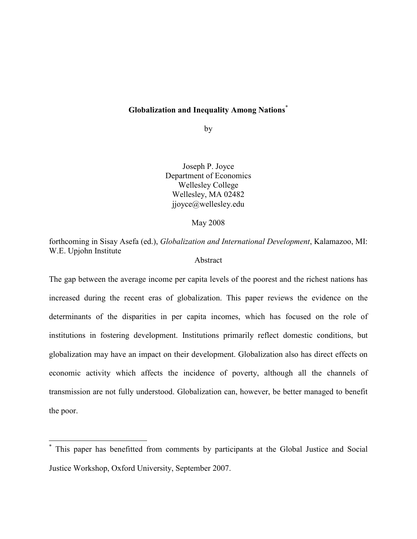## Globalization and Inequality Among Nations<sup>\*</sup>

by

Joseph P. Joyce Department of Economics Wellesley College Wellesley, MA 02482 jjoyce@wellesley.edu

May 2008

forthcoming in Sisay Asefa (ed.), Globalization and International Development, Kalamazoo, MI: W.E. Upjohn Institute

## Abstract

The gap between the average income per capita levels of the poorest and the richest nations has increased during the recent eras of globalization. This paper reviews the evidence on the determinants of the disparities in per capita incomes, which has focused on the role of institutions in fostering development. Institutions primarily reflect domestic conditions, but globalization may have an impact on their development. Globalization also has direct effects on economic activity which affects the incidence of poverty, although all the channels of transmission are not fully understood. Globalization can, however, be better managed to benefit the poor.

 $\overline{\phantom{a}}$ 

<sup>\*</sup> This paper has benefitted from comments by participants at the Global Justice and Social Justice Workshop, Oxford University, September 2007.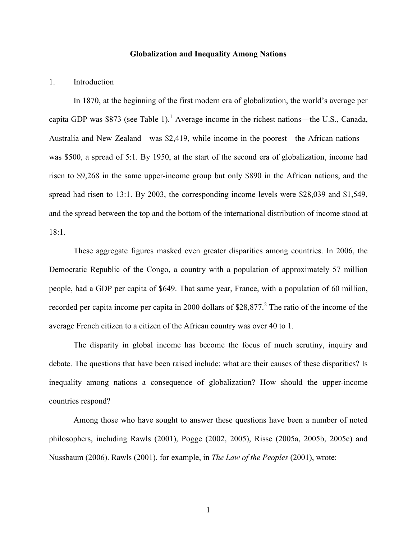#### Globalization and Inequality Among Nations

#### 1. Introduction

In 1870, at the beginning of the first modern era of globalization, the world's average per capita GDP was \$873 (see Table 1).<sup>1</sup> Average income in the richest nations—the U.S., Canada, Australia and New Zealand—was \$2,419, while income in the poorest—the African nations was \$500, a spread of 5:1. By 1950, at the start of the second era of globalization, income had risen to \$9,268 in the same upper-income group but only \$890 in the African nations, and the spread had risen to 13:1. By 2003, the corresponding income levels were \$28,039 and \$1,549, and the spread between the top and the bottom of the international distribution of income stood at 18:1.

These aggregate figures masked even greater disparities among countries. In 2006, the Democratic Republic of the Congo, a country with a population of approximately 57 million people, had a GDP per capita of \$649. That same year, France, with a population of 60 million, recorded per capita income per capita in 2000 dollars of \$28,877.<sup>2</sup> The ratio of the income of the average French citizen to a citizen of the African country was over 40 to 1.

 The disparity in global income has become the focus of much scrutiny, inquiry and debate. The questions that have been raised include: what are their causes of these disparities? Is inequality among nations a consequence of globalization? How should the upper-income countries respond?

Among those who have sought to answer these questions have been a number of noted philosophers, including Rawls (2001), Pogge (2002, 2005), Risse (2005a, 2005b, 2005c) and Nussbaum (2006). Rawls (2001), for example, in The Law of the Peoples (2001), wrote: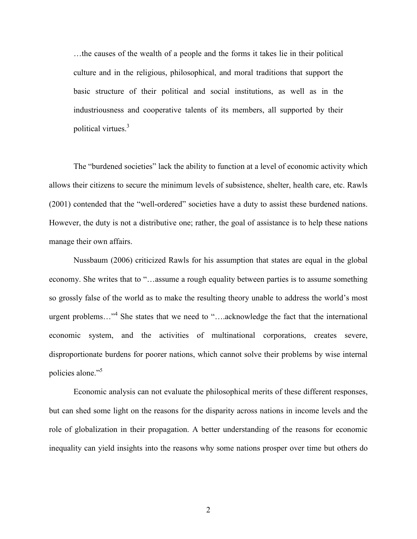…the causes of the wealth of a people and the forms it takes lie in their political culture and in the religious, philosophical, and moral traditions that support the basic structure of their political and social institutions, as well as in the industriousness and cooperative talents of its members, all supported by their political virtues.<sup>3</sup>

The "burdened societies" lack the ability to function at a level of economic activity which allows their citizens to secure the minimum levels of subsistence, shelter, health care, etc. Rawls (2001) contended that the "well-ordered" societies have a duty to assist these burdened nations. However, the duty is not a distributive one; rather, the goal of assistance is to help these nations manage their own affairs.

Nussbaum (2006) criticized Rawls for his assumption that states are equal in the global economy. She writes that to "…assume a rough equality between parties is to assume something so grossly false of the world as to make the resulting theory unable to address the world's most urgent problems..."<sup>4</sup> She states that we need to "....acknowledge the fact that the international economic system, and the activities of multinational corporations, creates severe, disproportionate burdens for poorer nations, which cannot solve their problems by wise internal policies alone."<sup>5</sup>

Economic analysis can not evaluate the philosophical merits of these different responses, but can shed some light on the reasons for the disparity across nations in income levels and the role of globalization in their propagation. A better understanding of the reasons for economic inequality can yield insights into the reasons why some nations prosper over time but others do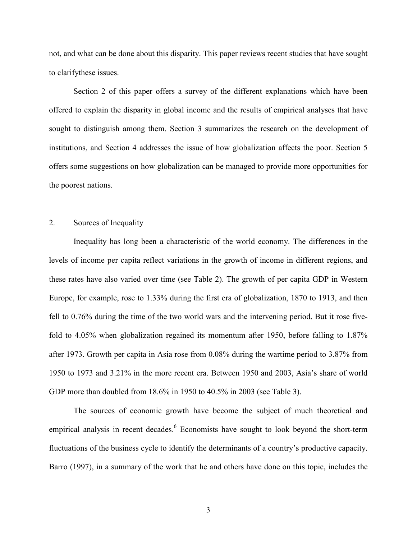not, and what can be done about this disparity. This paper reviews recent studies that have sought to clarifythese issues.

Section 2 of this paper offers a survey of the different explanations which have been offered to explain the disparity in global income and the results of empirical analyses that have sought to distinguish among them. Section 3 summarizes the research on the development of institutions, and Section 4 addresses the issue of how globalization affects the poor. Section 5 offers some suggestions on how globalization can be managed to provide more opportunities for the poorest nations.

## 2. Sources of Inequality

Inequality has long been a characteristic of the world economy. The differences in the levels of income per capita reflect variations in the growth of income in different regions, and these rates have also varied over time (see Table 2). The growth of per capita GDP in Western Europe, for example, rose to 1.33% during the first era of globalization, 1870 to 1913, and then fell to 0.76% during the time of the two world wars and the intervening period. But it rose fivefold to 4.05% when globalization regained its momentum after 1950, before falling to 1.87% after 1973. Growth per capita in Asia rose from 0.08% during the wartime period to 3.87% from 1950 to 1973 and 3.21% in the more recent era. Between 1950 and 2003, Asia's share of world GDP more than doubled from 18.6% in 1950 to 40.5% in 2003 (see Table 3).

The sources of economic growth have become the subject of much theoretical and empirical analysis in recent decades.<sup>6</sup> Economists have sought to look beyond the short-term fluctuations of the business cycle to identify the determinants of a country's productive capacity. Barro (1997), in a summary of the work that he and others have done on this topic, includes the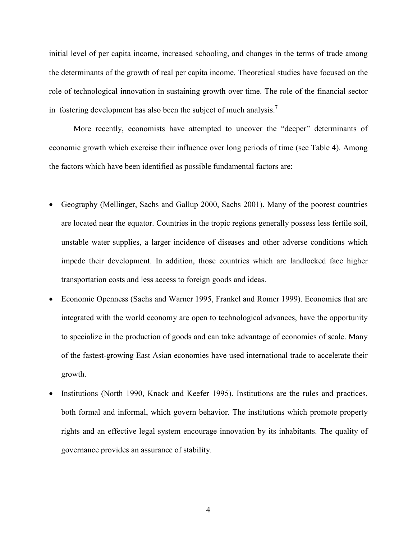initial level of per capita income, increased schooling, and changes in the terms of trade among the determinants of the growth of real per capita income. Theoretical studies have focused on the role of technological innovation in sustaining growth over time. The role of the financial sector in fostering development has also been the subject of much analysis.<sup>7</sup>

More recently, economists have attempted to uncover the "deeper" determinants of economic growth which exercise their influence over long periods of time (see Table 4). Among the factors which have been identified as possible fundamental factors are:

- Geography (Mellinger, Sachs and Gallup 2000, Sachs 2001). Many of the poorest countries are located near the equator. Countries in the tropic regions generally possess less fertile soil, unstable water supplies, a larger incidence of diseases and other adverse conditions which impede their development. In addition, those countries which are landlocked face higher transportation costs and less access to foreign goods and ideas.
- Economic Openness (Sachs and Warner 1995, Frankel and Romer 1999). Economies that are integrated with the world economy are open to technological advances, have the opportunity to specialize in the production of goods and can take advantage of economies of scale. Many of the fastest-growing East Asian economies have used international trade to accelerate their growth.
- Institutions (North 1990, Knack and Keefer 1995). Institutions are the rules and practices, both formal and informal, which govern behavior. The institutions which promote property rights and an effective legal system encourage innovation by its inhabitants. The quality of governance provides an assurance of stability.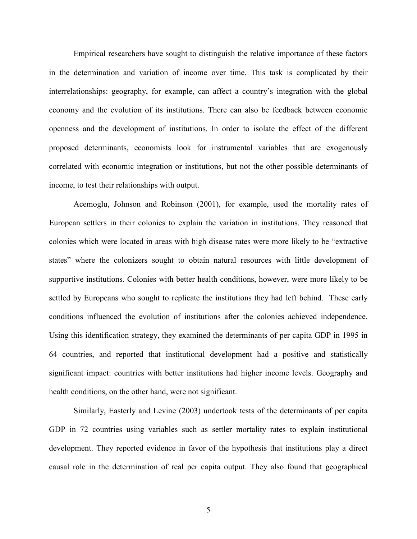Empirical researchers have sought to distinguish the relative importance of these factors in the determination and variation of income over time. This task is complicated by their interrelationships: geography, for example, can affect a country's integration with the global economy and the evolution of its institutions. There can also be feedback between economic openness and the development of institutions. In order to isolate the effect of the different proposed determinants, economists look for instrumental variables that are exogenously correlated with economic integration or institutions, but not the other possible determinants of income, to test their relationships with output.

Acemoglu, Johnson and Robinson (2001), for example, used the mortality rates of European settlers in their colonies to explain the variation in institutions. They reasoned that colonies which were located in areas with high disease rates were more likely to be "extractive states" where the colonizers sought to obtain natural resources with little development of supportive institutions. Colonies with better health conditions, however, were more likely to be settled by Europeans who sought to replicate the institutions they had left behind. These early conditions influenced the evolution of institutions after the colonies achieved independence. Using this identification strategy, they examined the determinants of per capita GDP in 1995 in 64 countries, and reported that institutional development had a positive and statistically significant impact: countries with better institutions had higher income levels. Geography and health conditions, on the other hand, were not significant.

Similarly, Easterly and Levine (2003) undertook tests of the determinants of per capita GDP in 72 countries using variables such as settler mortality rates to explain institutional development. They reported evidence in favor of the hypothesis that institutions play a direct causal role in the determination of real per capita output. They also found that geographical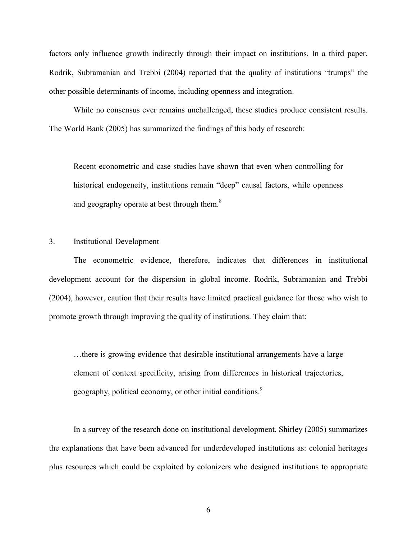factors only influence growth indirectly through their impact on institutions. In a third paper, Rodrik, Subramanian and Trebbi (2004) reported that the quality of institutions "trumps" the other possible determinants of income, including openness and integration.

While no consensus ever remains unchallenged, these studies produce consistent results. The World Bank (2005) has summarized the findings of this body of research:

Recent econometric and case studies have shown that even when controlling for historical endogeneity, institutions remain "deep" causal factors, while openness and geography operate at best through them.<sup>8</sup>

### 3. Institutional Development

The econometric evidence, therefore, indicates that differences in institutional development account for the dispersion in global income. Rodrik, Subramanian and Trebbi (2004), however, caution that their results have limited practical guidance for those who wish to promote growth through improving the quality of institutions. They claim that:

…there is growing evidence that desirable institutional arrangements have a large element of context specificity, arising from differences in historical trajectories, geography, political economy, or other initial conditions.<sup>9</sup>

 In a survey of the research done on institutional development, Shirley (2005) summarizes the explanations that have been advanced for underdeveloped institutions as: colonial heritages plus resources which could be exploited by colonizers who designed institutions to appropriate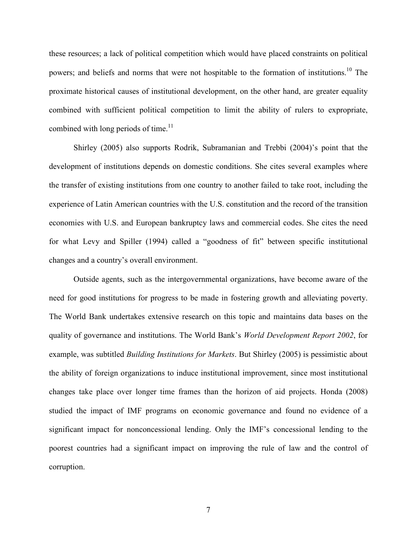these resources; a lack of political competition which would have placed constraints on political powers; and beliefs and norms that were not hospitable to the formation of institutions.<sup>10</sup> The proximate historical causes of institutional development, on the other hand, are greater equality combined with sufficient political competition to limit the ability of rulers to expropriate, combined with long periods of time. $11$ 

 Shirley (2005) also supports Rodrik, Subramanian and Trebbi (2004)'s point that the development of institutions depends on domestic conditions. She cites several examples where the transfer of existing institutions from one country to another failed to take root, including the experience of Latin American countries with the U.S. constitution and the record of the transition economies with U.S. and European bankruptcy laws and commercial codes. She cites the need for what Levy and Spiller (1994) called a "goodness of fit" between specific institutional changes and a country's overall environment.

Outside agents, such as the intergovernmental organizations, have become aware of the need for good institutions for progress to be made in fostering growth and alleviating poverty. The World Bank undertakes extensive research on this topic and maintains data bases on the quality of governance and institutions. The World Bank's World Development Report 2002, for example, was subtitled *Building Institutions for Markets*. But Shirley (2005) is pessimistic about the ability of foreign organizations to induce institutional improvement, since most institutional changes take place over longer time frames than the horizon of aid projects. Honda (2008) studied the impact of IMF programs on economic governance and found no evidence of a significant impact for nonconcessional lending. Only the IMF's concessional lending to the poorest countries had a significant impact on improving the rule of law and the control of corruption.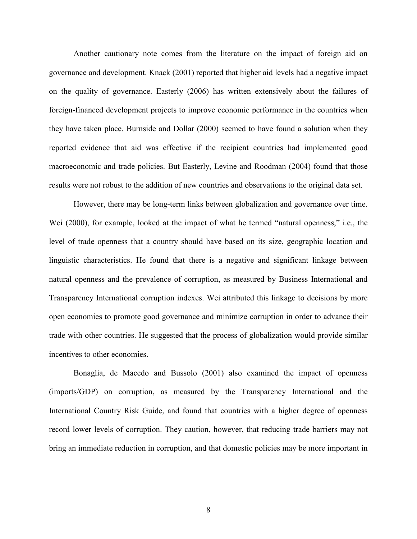Another cautionary note comes from the literature on the impact of foreign aid on governance and development. Knack (2001) reported that higher aid levels had a negative impact on the quality of governance. Easterly (2006) has written extensively about the failures of foreign-financed development projects to improve economic performance in the countries when they have taken place. Burnside and Dollar (2000) seemed to have found a solution when they reported evidence that aid was effective if the recipient countries had implemented good macroeconomic and trade policies. But Easterly, Levine and Roodman (2004) found that those results were not robust to the addition of new countries and observations to the original data set.

However, there may be long-term links between globalization and governance over time. Wei (2000), for example, looked at the impact of what he termed "natural openness," i.e., the level of trade openness that a country should have based on its size, geographic location and linguistic characteristics. He found that there is a negative and significant linkage between natural openness and the prevalence of corruption, as measured by Business International and Transparency International corruption indexes. Wei attributed this linkage to decisions by more open economies to promote good governance and minimize corruption in order to advance their trade with other countries. He suggested that the process of globalization would provide similar incentives to other economies.

Bonaglia, de Macedo and Bussolo (2001) also examined the impact of openness (imports/GDP) on corruption, as measured by the Transparency International and the International Country Risk Guide, and found that countries with a higher degree of openness record lower levels of corruption. They caution, however, that reducing trade barriers may not bring an immediate reduction in corruption, and that domestic policies may be more important in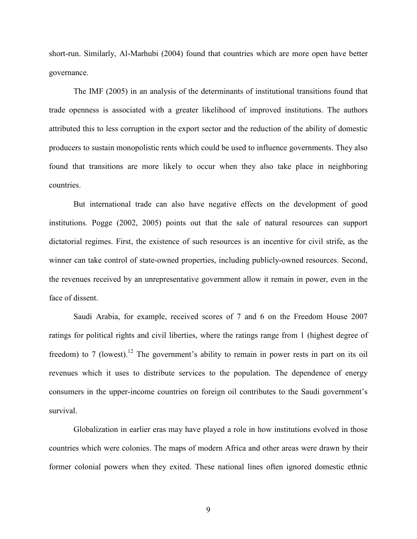short-run. Similarly, Al-Marhubi (2004) found that countries which are more open have better governance.

The IMF (2005) in an analysis of the determinants of institutional transitions found that trade openness is associated with a greater likelihood of improved institutions. The authors attributed this to less corruption in the export sector and the reduction of the ability of domestic producers to sustain monopolistic rents which could be used to influence governments. They also found that transitions are more likely to occur when they also take place in neighboring countries.

But international trade can also have negative effects on the development of good institutions. Pogge (2002, 2005) points out that the sale of natural resources can support dictatorial regimes. First, the existence of such resources is an incentive for civil strife, as the winner can take control of state-owned properties, including publicly-owned resources. Second, the revenues received by an unrepresentative government allow it remain in power, even in the face of dissent.

Saudi Arabia, for example, received scores of 7 and 6 on the Freedom House 2007 ratings for political rights and civil liberties, where the ratings range from 1 (highest degree of freedom) to 7 (lowest).<sup>12</sup> The government's ability to remain in power rests in part on its oil revenues which it uses to distribute services to the population. The dependence of energy consumers in the upper-income countries on foreign oil contributes to the Saudi government's survival.

 Globalization in earlier eras may have played a role in how institutions evolved in those countries which were colonies. The maps of modern Africa and other areas were drawn by their former colonial powers when they exited. These national lines often ignored domestic ethnic

9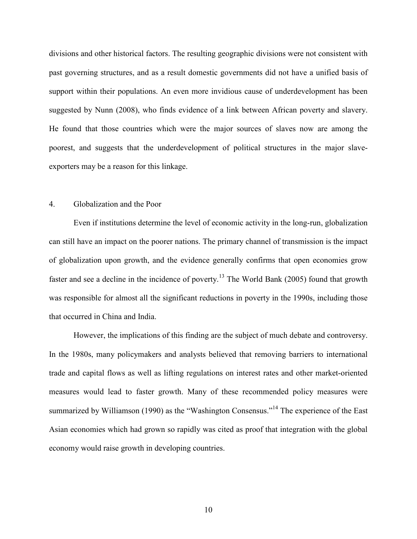divisions and other historical factors. The resulting geographic divisions were not consistent with past governing structures, and as a result domestic governments did not have a unified basis of support within their populations. An even more invidious cause of underdevelopment has been suggested by Nunn (2008), who finds evidence of a link between African poverty and slavery. He found that those countries which were the major sources of slaves now are among the poorest, and suggests that the underdevelopment of political structures in the major slaveexporters may be a reason for this linkage.

## 4. Globalization and the Poor

Even if institutions determine the level of economic activity in the long-run, globalization can still have an impact on the poorer nations. The primary channel of transmission is the impact of globalization upon growth, and the evidence generally confirms that open economies grow faster and see a decline in the incidence of poverty.<sup>13</sup> The World Bank (2005) found that growth was responsible for almost all the significant reductions in poverty in the 1990s, including those that occurred in China and India.

However, the implications of this finding are the subject of much debate and controversy. In the 1980s, many policymakers and analysts believed that removing barriers to international trade and capital flows as well as lifting regulations on interest rates and other market-oriented measures would lead to faster growth. Many of these recommended policy measures were summarized by Williamson (1990) as the "Washington Consensus."<sup>14</sup> The experience of the East Asian economies which had grown so rapidly was cited as proof that integration with the global economy would raise growth in developing countries.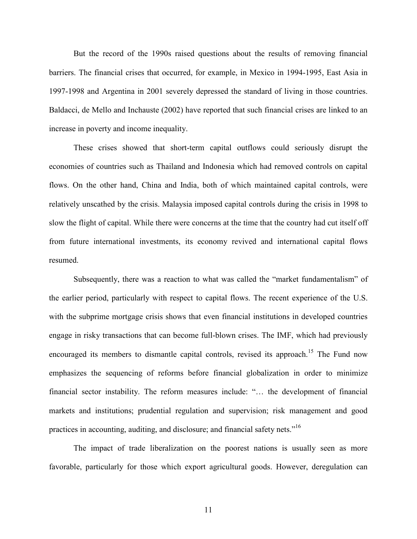But the record of the 1990s raised questions about the results of removing financial barriers. The financial crises that occurred, for example, in Mexico in 1994-1995, East Asia in 1997-1998 and Argentina in 2001 severely depressed the standard of living in those countries. Baldacci, de Mello and Inchauste (2002) have reported that such financial crises are linked to an increase in poverty and income inequality.

These crises showed that short-term capital outflows could seriously disrupt the economies of countries such as Thailand and Indonesia which had removed controls on capital flows. On the other hand, China and India, both of which maintained capital controls, were relatively unscathed by the crisis. Malaysia imposed capital controls during the crisis in 1998 to slow the flight of capital. While there were concerns at the time that the country had cut itself off from future international investments, its economy revived and international capital flows resumed.

Subsequently, there was a reaction to what was called the "market fundamentalism" of the earlier period, particularly with respect to capital flows. The recent experience of the U.S. with the subprime mortgage crisis shows that even financial institutions in developed countries engage in risky transactions that can become full-blown crises. The IMF, which had previously encouraged its members to dismantle capital controls, revised its approach.<sup>15</sup> The Fund now emphasizes the sequencing of reforms before financial globalization in order to minimize financial sector instability. The reform measures include: "… the development of financial markets and institutions; prudential regulation and supervision; risk management and good practices in accounting, auditing, and disclosure; and financial safety nets."<sup>16</sup>

The impact of trade liberalization on the poorest nations is usually seen as more favorable, particularly for those which export agricultural goods. However, deregulation can

11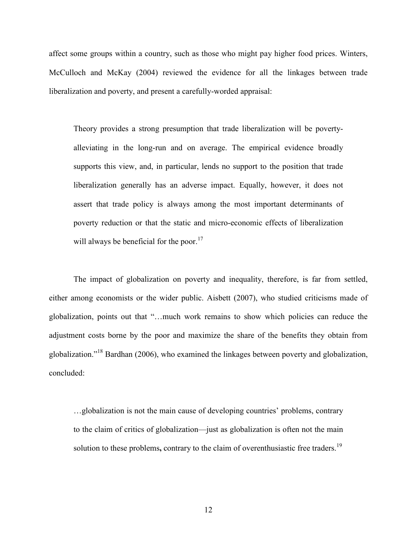affect some groups within a country, such as those who might pay higher food prices. Winters, McCulloch and McKay (2004) reviewed the evidence for all the linkages between trade liberalization and poverty, and present a carefully-worded appraisal:

Theory provides a strong presumption that trade liberalization will be povertyalleviating in the long-run and on average. The empirical evidence broadly supports this view, and, in particular, lends no support to the position that trade liberalization generally has an adverse impact. Equally, however, it does not assert that trade policy is always among the most important determinants of poverty reduction or that the static and micro-economic effects of liberalization will always be beneficial for the poor.<sup>17</sup>

The impact of globalization on poverty and inequality, therefore, is far from settled, either among economists or the wider public. Aisbett (2007), who studied criticisms made of globalization, points out that "…much work remains to show which policies can reduce the adjustment costs borne by the poor and maximize the share of the benefits they obtain from globalization."<sup>18</sup> Bardhan (2006), who examined the linkages between poverty and globalization, concluded:

…globalization is not the main cause of developing countries' problems, contrary to the claim of critics of globalization—just as globalization is often not the main solution to these problems, contrary to the claim of overenthusiastic free traders.<sup>19</sup>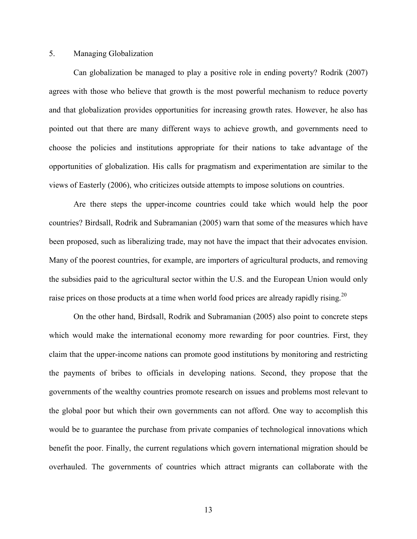### 5. Managing Globalization

Can globalization be managed to play a positive role in ending poverty? Rodrik (2007) agrees with those who believe that growth is the most powerful mechanism to reduce poverty and that globalization provides opportunities for increasing growth rates. However, he also has pointed out that there are many different ways to achieve growth, and governments need to choose the policies and institutions appropriate for their nations to take advantage of the opportunities of globalization. His calls for pragmatism and experimentation are similar to the views of Easterly (2006), who criticizes outside attempts to impose solutions on countries.

Are there steps the upper-income countries could take which would help the poor countries? Birdsall, Rodrik and Subramanian (2005) warn that some of the measures which have been proposed, such as liberalizing trade, may not have the impact that their advocates envision. Many of the poorest countries, for example, are importers of agricultural products, and removing the subsidies paid to the agricultural sector within the U.S. and the European Union would only raise prices on those products at a time when world food prices are already rapidly rising.<sup>20</sup>

On the other hand, Birdsall, Rodrik and Subramanian (2005) also point to concrete steps which would make the international economy more rewarding for poor countries. First, they claim that the upper-income nations can promote good institutions by monitoring and restricting the payments of bribes to officials in developing nations. Second, they propose that the governments of the wealthy countries promote research on issues and problems most relevant to the global poor but which their own governments can not afford. One way to accomplish this would be to guarantee the purchase from private companies of technological innovations which benefit the poor. Finally, the current regulations which govern international migration should be overhauled. The governments of countries which attract migrants can collaborate with the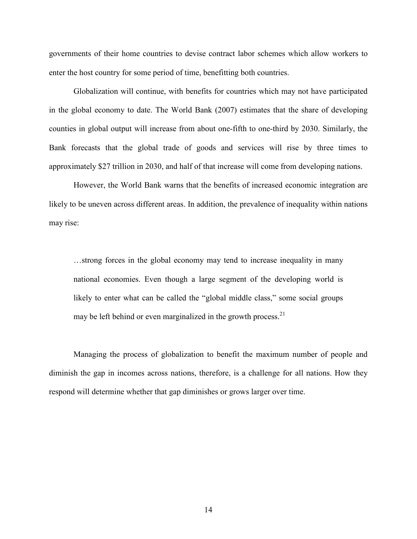governments of their home countries to devise contract labor schemes which allow workers to enter the host country for some period of time, benefitting both countries.

Globalization will continue, with benefits for countries which may not have participated in the global economy to date. The World Bank (2007) estimates that the share of developing counties in global output will increase from about one-fifth to one-third by 2030. Similarly, the Bank forecasts that the global trade of goods and services will rise by three times to approximately \$27 trillion in 2030, and half of that increase will come from developing nations.

However, the World Bank warns that the benefits of increased economic integration are likely to be uneven across different areas. In addition, the prevalence of inequality within nations may rise:

…strong forces in the global economy may tend to increase inequality in many national economies. Even though a large segment of the developing world is likely to enter what can be called the "global middle class," some social groups may be left behind or even marginalized in the growth process.<sup>21</sup>

Managing the process of globalization to benefit the maximum number of people and diminish the gap in incomes across nations, therefore, is a challenge for all nations. How they respond will determine whether that gap diminishes or grows larger over time.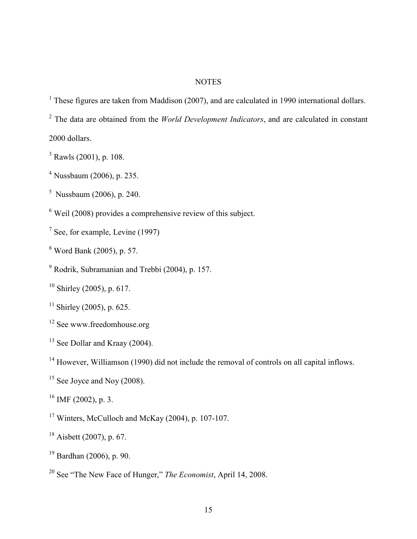## **NOTES**

<sup>1</sup> These figures are taken from Maddison (2007), and are calculated in 1990 international dollars.

 $2$  The data are obtained from the *World Development Indicators*, and are calculated in constant 2000 dollars.

- $3$  Rawls (2001), p. 108.
- 4 Nussbaum (2006), p. 235.
- $5$  Nussbaum (2006), p. 240.
- $6$  Weil (2008) provides a comprehensive review of this subject.
- $<sup>7</sup>$  See, for example, Levine (1997)</sup>
- 8 Word Bank (2005), p. 57.
- <sup>9</sup> Rodrik, Subramanian and Trebbi (2004), p. 157.
- $10$  Shirley (2005), p. 617.
- $11$  Shirley (2005), p. 625.
- <sup>12</sup> See www.freedomhouse.org
- <sup>13</sup> See Dollar and Kraay (2004).

<sup>14</sup> However, Williamson (1990) did not include the removal of controls on all capital inflows.

- $15$  See Joyce and Noy (2008).
- $^{16}$  IMF (2002), p. 3.

 $17$  Winters, McCulloch and McKay (2004), p. 107-107.

- <sup>18</sup> Aisbett (2007), p. 67.
- <sup>19</sup> Bardhan (2006), p. 90.
- <sup>20</sup> See "The New Face of Hunger," *The Economist*, April 14, 2008.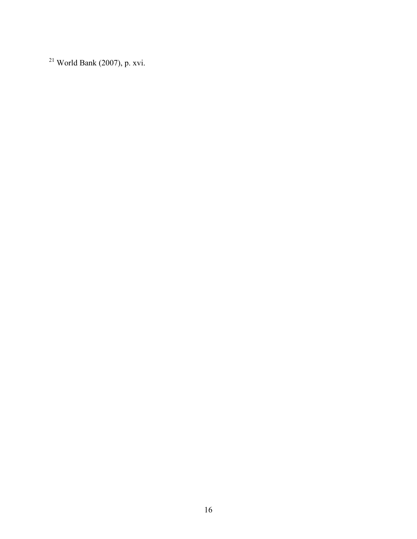World Bank (2007), p. xvi.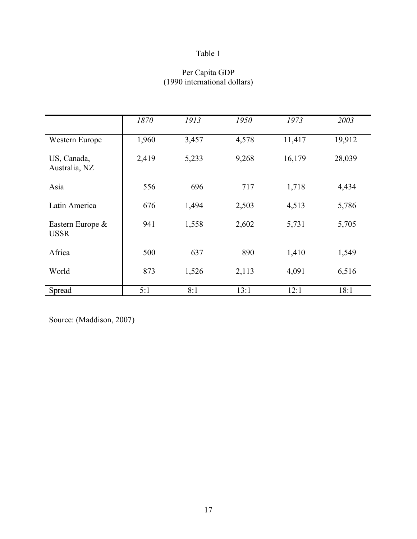## Per Capita GDP (1990 international dollars)

|                                 | 1870  | 1913  | 1950  | 1973   | 2003   |
|---------------------------------|-------|-------|-------|--------|--------|
| Western Europe                  | 1,960 | 3,457 | 4,578 | 11,417 | 19,912 |
| US, Canada,<br>Australia, NZ    | 2,419 | 5,233 | 9,268 | 16,179 | 28,039 |
| Asia                            | 556   | 696   | 717   | 1,718  | 4,434  |
| Latin America                   | 676   | 1,494 | 2,503 | 4,513  | 5,786  |
| Eastern Europe &<br><b>USSR</b> | 941   | 1,558 | 2,602 | 5,731  | 5,705  |
| Africa                          | 500   | 637   | 890   | 1,410  | 1,549  |
| World                           | 873   | 1,526 | 2,113 | 4,091  | 6,516  |
| Spread                          | 5:1   | 8:1   | 13:1  | 12:1   | 18:1   |

Source: (Maddison, 2007)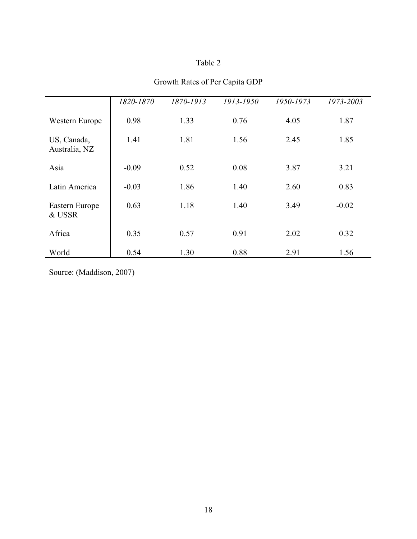|                              | 1820-1870 | 1870-1913 | 1913-1950 | 1950-1973 | 1973-2003 |
|------------------------------|-----------|-----------|-----------|-----------|-----------|
| Western Europe               | 0.98      | 1.33      | 0.76      | 4.05      | 1.87      |
| US, Canada,<br>Australia, NZ | 1.41      | 1.81      | 1.56      | 2.45      | 1.85      |
| Asia                         | $-0.09$   | 0.52      | 0.08      | 3.87      | 3.21      |
| Latin America                | $-0.03$   | 1.86      | 1.40      | 2.60      | 0.83      |
| Eastern Europe<br>& USSR     | 0.63      | 1.18      | 1.40      | 3.49      | $-0.02$   |
| Africa                       | 0.35      | 0.57      | 0.91      | 2.02      | 0.32      |
| World                        | 0.54      | 1.30      | 0.88      | 2.91      | 1.56      |

# Growth Rates of Per Capita GDP

Source: (Maddison, 2007)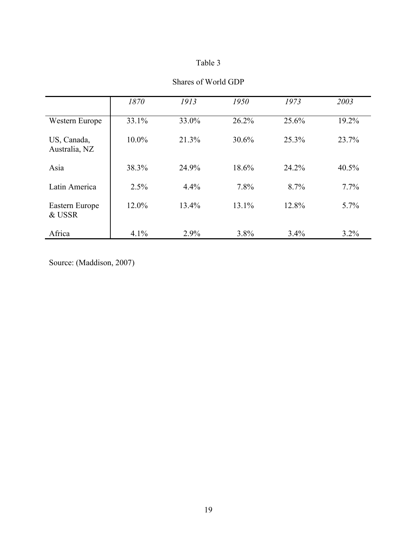|                              | 1870     | 1913  | 1950  | 1973  | 2003     |
|------------------------------|----------|-------|-------|-------|----------|
| Western Europe               | 33.1%    | 33.0% | 26.2% | 25.6% | 19.2%    |
| US, Canada,<br>Australia, NZ | $10.0\%$ | 21.3% | 30.6% | 25.3% | 23.7%    |
| Asia                         | 38.3%    | 24.9% | 18.6% | 24.2% | $40.5\%$ |
| Latin America                | 2.5%     | 4.4%  | 7.8%  | 8.7%  | $7.7\%$  |
| Eastern Europe<br>& USSR     | 12.0%    | 13.4% | 13.1% | 12.8% | $5.7\%$  |
| Africa                       | 4.1%     | 2.9%  | 3.8%  | 3.4%  | $3.2\%$  |

## Shares of World GDP

Source: (Maddison, 2007)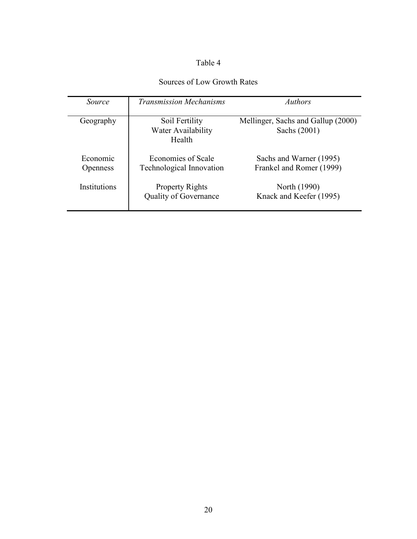# Sources of Low Growth Rates

| <i>Source</i>               | <b>Transmission Mechanisms</b>                         | <i>Authors</i>                                      |
|-----------------------------|--------------------------------------------------------|-----------------------------------------------------|
| Geography                   | Soil Fertility<br>Water Availability<br>Health         | Mellinger, Sachs and Gallup (2000)<br>Sachs (2001)  |
| Economic<br><b>Openness</b> | Economies of Scale<br><b>Technological Innovation</b>  | Sachs and Warner (1995)<br>Frankel and Romer (1999) |
| Institutions                | <b>Property Rights</b><br><b>Quality of Governance</b> | North (1990)<br>Knack and Keefer (1995)             |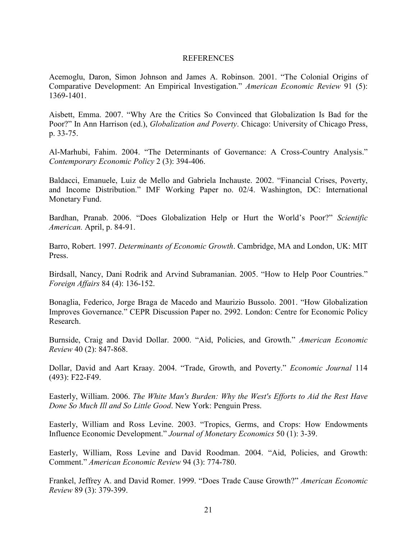#### REFERENCES

Acemoglu, Daron, Simon Johnson and James A. Robinson. 2001. "The Colonial Origins of Comparative Development: An Empirical Investigation." American Economic Review 91 (5): 1369-1401.

Aisbett, Emma. 2007. "Why Are the Critics So Convinced that Globalization Is Bad for the Poor?" In Ann Harrison (ed.), *Globalization and Poverty*. Chicago: University of Chicago Press, p. 33-75.

Al-Marhubi, Fahim. 2004. "The Determinants of Governance: A Cross-Country Analysis." Contemporary Economic Policy 2 (3): 394-406.

Baldacci, Emanuele, Luiz de Mello and Gabriela Inchauste. 2002. "Financial Crises, Poverty, and Income Distribution." IMF Working Paper no. 02/4. Washington, DC: International Monetary Fund.

Bardhan, Pranab. 2006. "Does Globalization Help or Hurt the World's Poor?" Scientific American. April, p. 84-91.

Barro, Robert. 1997. Determinants of Economic Growth. Cambridge, MA and London, UK: MIT Press.

Birdsall, Nancy, Dani Rodrik and Arvind Subramanian. 2005. "How to Help Poor Countries." Foreign Affairs 84 (4): 136-152.

Bonaglia, Federico, Jorge Braga de Macedo and Maurizio Bussolo. 2001. "How Globalization Improves Governance." CEPR Discussion Paper no. 2992. London: Centre for Economic Policy Research.

Burnside, Craig and David Dollar. 2000. "Aid, Policies, and Growth." American Economic Review 40 (2): 847-868.

Dollar, David and Aart Kraay. 2004. "Trade, Growth, and Poverty." Economic Journal 114 (493): F22-F49.

Easterly, William. 2006. The White Man's Burden: Why the West's Efforts to Aid the Rest Have Done So Much Ill and So Little Good. New York: Penguin Press.

Easterly, William and Ross Levine. 2003. "Tropics, Germs, and Crops: How Endowments Influence Economic Development." Journal of Monetary Economics 50 (1): 3-39.

Easterly, William, Ross Levine and David Roodman. 2004. "Aid, Policies, and Growth: Comment." American Economic Review 94 (3): 774-780.

Frankel, Jeffrey A. and David Romer. 1999. "Does Trade Cause Growth?" American Economic Review 89 (3): 379-399.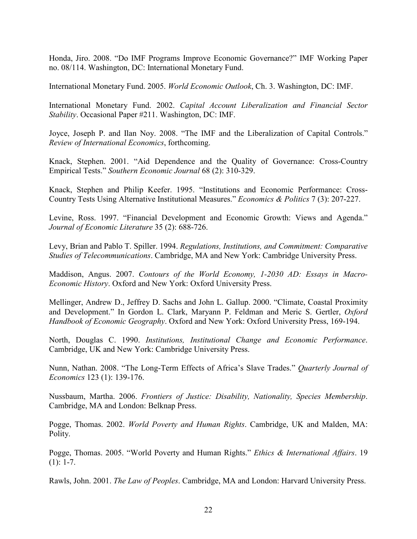Honda, Jiro. 2008. "Do IMF Programs Improve Economic Governance?" IMF Working Paper no. 08/114. Washington, DC: International Monetary Fund.

International Monetary Fund. 2005. World Economic Outlook, Ch. 3. Washington, DC: IMF.

International Monetary Fund. 2002. Capital Account Liberalization and Financial Sector Stability. Occasional Paper #211. Washington, DC: IMF.

Joyce, Joseph P. and Ilan Noy. 2008. "The IMF and the Liberalization of Capital Controls." Review of International Economics, forthcoming.

Knack, Stephen. 2001. "Aid Dependence and the Quality of Governance: Cross-Country Empirical Tests." Southern Economic Journal 68 (2): 310-329.

Knack, Stephen and Philip Keefer. 1995. "Institutions and Economic Performance: Cross-Country Tests Using Alternative Institutional Measures." Economics & Politics 7 (3): 207-227.

Levine, Ross. 1997. "Financial Development and Economic Growth: Views and Agenda." Journal of Economic Literature 35 (2): 688-726.

Levy, Brian and Pablo T. Spiller. 1994. Regulations, Institutions, and Commitment: Comparative Studies of Telecommunications. Cambridge, MA and New York: Cambridge University Press.

Maddison, Angus. 2007. Contours of the World Economy, 1-2030 AD: Essays in Macro-Economic History. Oxford and New York: Oxford University Press.

Mellinger, Andrew D., Jeffrey D. Sachs and John L. Gallup. 2000. "Climate, Coastal Proximity and Development." In Gordon L. Clark, Maryann P. Feldman and Meric S. Gertler, Oxford Handbook of Economic Geography. Oxford and New York: Oxford University Press, 169-194.

North, Douglas C. 1990. Institutions, Institutional Change and Economic Performance. Cambridge, UK and New York: Cambridge University Press.

Nunn, Nathan. 2008. "The Long-Term Effects of Africa's Slave Trades." Quarterly Journal of Economics 123 (1): 139-176.

Nussbaum, Martha. 2006. Frontiers of Justice: Disability, Nationality, Species Membership. Cambridge, MA and London: Belknap Press.

Pogge, Thomas. 2002. World Poverty and Human Rights. Cambridge, UK and Malden, MA: Polity.

Pogge, Thomas. 2005. "World Poverty and Human Rights." Ethics & International Affairs. 19  $(1): 1-7.$ 

Rawls, John. 2001. The Law of Peoples. Cambridge, MA and London: Harvard University Press.